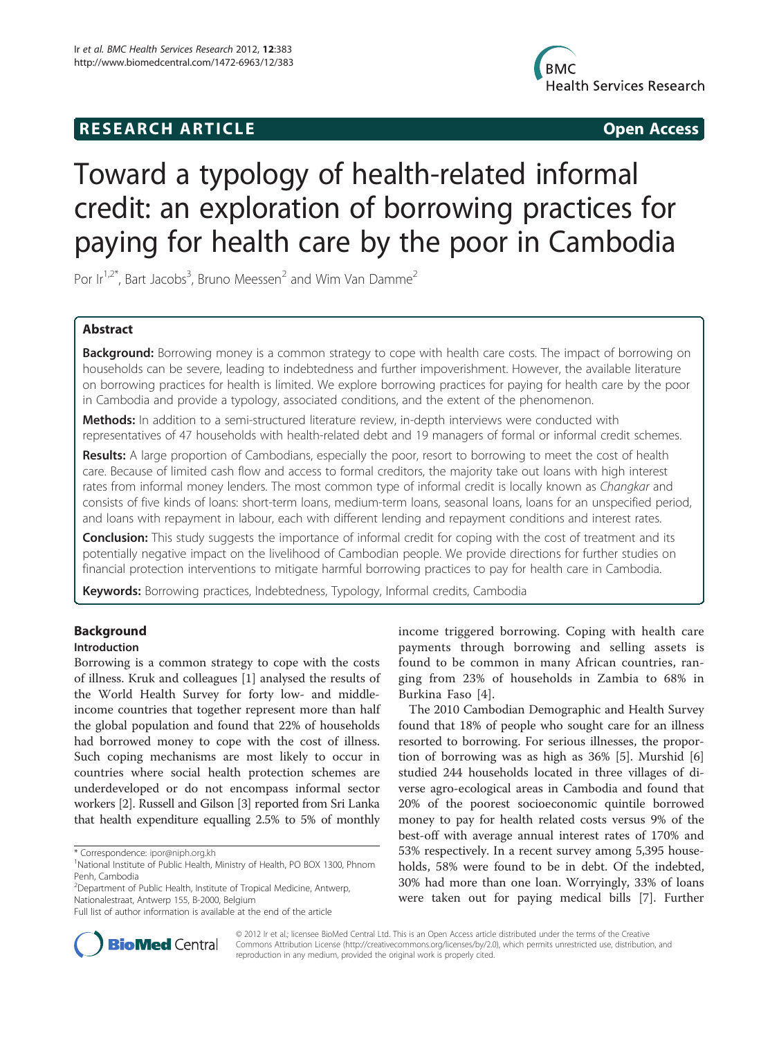# **RESEARCH ARTICLE Example 2014 CONSIDERING CONSIDERING CONSIDERING CONSIDERING CONSIDERING CONSIDERING CONSIDERING CONSIDERING CONSIDERING CONSIDERING CONSIDERING CONSIDERING CONSIDERING CONSIDERING CONSIDERING CONSIDE**



# Toward a typology of health-related informal credit: an exploration of borrowing practices for paying for health care by the poor in Cambodia

Por Ir<sup>1,2\*</sup>, Bart Jacobs<sup>3</sup>, Bruno Meessen<sup>2</sup> and Wim Van Damme<sup>2</sup>

# Abstract

Background: Borrowing money is a common strategy to cope with health care costs. The impact of borrowing on households can be severe, leading to indebtedness and further impoverishment. However, the available literature on borrowing practices for health is limited. We explore borrowing practices for paying for health care by the poor in Cambodia and provide a typology, associated conditions, and the extent of the phenomenon.

Methods: In addition to a semi-structured literature review, in-depth interviews were conducted with representatives of 47 households with health-related debt and 19 managers of formal or informal credit schemes.

Results: A large proportion of Cambodians, especially the poor, resort to borrowing to meet the cost of health care. Because of limited cash flow and access to formal creditors, the majority take out loans with high interest rates from informal money lenders. The most common type of informal credit is locally known as Changkar and consists of five kinds of loans: short-term loans, medium-term loans, seasonal loans, loans for an unspecified period, and loans with repayment in labour, each with different lending and repayment conditions and interest rates.

**Conclusion:** This study suggests the importance of informal credit for coping with the cost of treatment and its potentially negative impact on the livelihood of Cambodian people. We provide directions for further studies on financial protection interventions to mitigate harmful borrowing practices to pay for health care in Cambodia.

Keywords: Borrowing practices, Indebtedness, Typology, Informal credits, Cambodia

# Background

# Introduction

Borrowing is a common strategy to cope with the costs of illness. Kruk and colleagues [[1\]](#page-8-0) analysed the results of the World Health Survey for forty low- and middleincome countries that together represent more than half the global population and found that 22% of households had borrowed money to cope with the cost of illness. Such coping mechanisms are most likely to occur in countries where social health protection schemes are underdeveloped or do not encompass informal sector workers [[2](#page-9-0)]. Russell and Gilson [[3](#page-9-0)] reported from Sri Lanka that health expenditure equalling 2.5% to 5% of monthly

<sup>2</sup>Department of Public Health, Institute of Tropical Medicine, Antwerp, Nationalestraat, Antwerp 155, B-2000, Belgium

income triggered borrowing. Coping with health care payments through borrowing and selling assets is found to be common in many African countries, ranging from 23% of households in Zambia to 68% in Burkina Faso [[4](#page-9-0)].

The 2010 Cambodian Demographic and Health Survey found that 18% of people who sought care for an illness resorted to borrowing. For serious illnesses, the proportion of borrowing was as high as 36% [[5\]](#page-9-0). Murshid [\[6](#page-9-0)] studied 244 households located in three villages of diverse agro-ecological areas in Cambodia and found that 20% of the poorest socioeconomic quintile borrowed money to pay for health related costs versus 9% of the best-off with average annual interest rates of 170% and 53% respectively. In a recent survey among 5,395 households, 58% were found to be in debt. Of the indebted, 30% had more than one loan. Worryingly, 33% of loans were taken out for paying medical bills [[7\]](#page-9-0). Further



© 2012 Ir et al.; licensee BioMed Central Ltd. This is an Open Access article distributed under the terms of the Creative Commons Attribution License [\(http://creativecommons.org/licenses/by/2.0\)](http://creativecommons.org/licenses/by/2.0), which permits unrestricted use, distribution, and reproduction in any medium, provided the original work is properly cited.

<sup>\*</sup> Correspondence: [ipor@niph.org.kh](mailto:ipor@niph.org.kh) <sup>1</sup>

<sup>&</sup>lt;sup>1</sup>National Institute of Public Health, Ministry of Health, PO BOX 1300, Phnom Penh, Cambodia

Full list of author information is available at the end of the article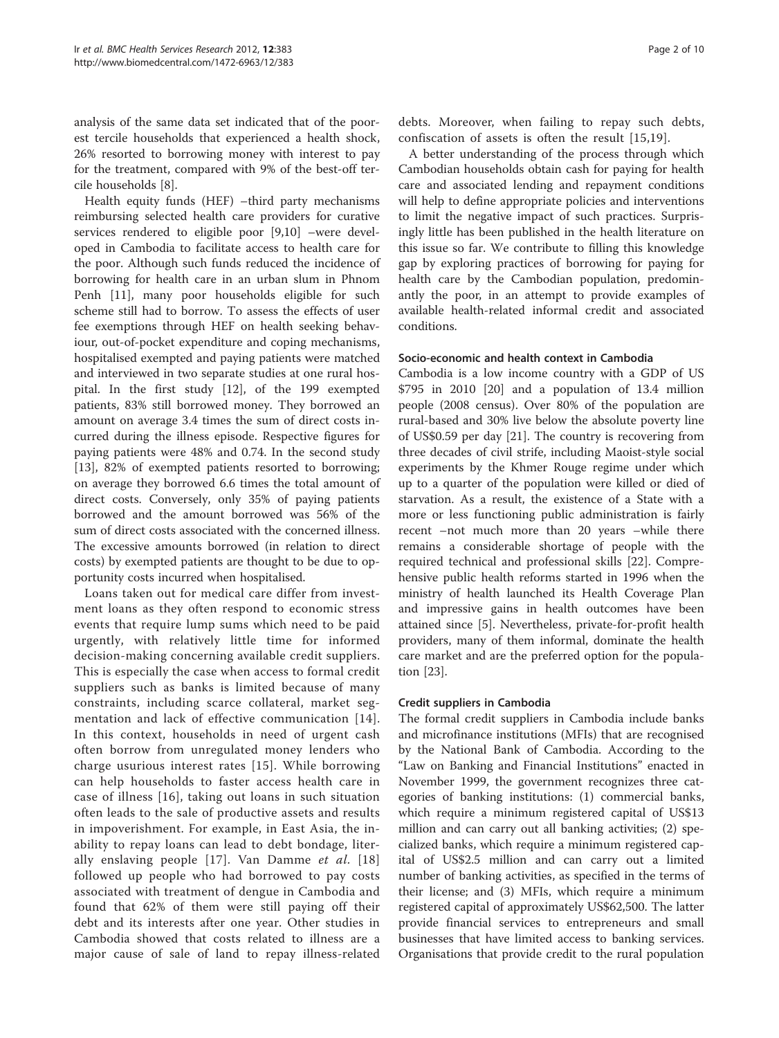analysis of the same data set indicated that of the poorest tercile households that experienced a health shock, 26% resorted to borrowing money with interest to pay for the treatment, compared with 9% of the best-off tercile households [[8](#page-9-0)].

Health equity funds (HEF) –third party mechanisms reimbursing selected health care providers for curative services rendered to eligible poor [\[9,10](#page-9-0)] –were developed in Cambodia to facilitate access to health care for the poor. Although such funds reduced the incidence of borrowing for health care in an urban slum in Phnom Penh [\[11](#page-9-0)], many poor households eligible for such scheme still had to borrow. To assess the effects of user fee exemptions through HEF on health seeking behaviour, out-of-pocket expenditure and coping mechanisms, hospitalised exempted and paying patients were matched and interviewed in two separate studies at one rural hospital. In the first study [\[12\]](#page-9-0), of the 199 exempted patients, 83% still borrowed money. They borrowed an amount on average 3.4 times the sum of direct costs incurred during the illness episode. Respective figures for paying patients were 48% and 0.74. In the second study [[13\]](#page-9-0), 82% of exempted patients resorted to borrowing; on average they borrowed 6.6 times the total amount of direct costs. Conversely, only 35% of paying patients borrowed and the amount borrowed was 56% of the sum of direct costs associated with the concerned illness. The excessive amounts borrowed (in relation to direct costs) by exempted patients are thought to be due to opportunity costs incurred when hospitalised.

Loans taken out for medical care differ from investment loans as they often respond to economic stress events that require lump sums which need to be paid urgently, with relatively little time for informed decision-making concerning available credit suppliers. This is especially the case when access to formal credit suppliers such as banks is limited because of many constraints, including scarce collateral, market segmentation and lack of effective communication [[14\]](#page-9-0). In this context, households in need of urgent cash often borrow from unregulated money lenders who charge usurious interest rates [[15](#page-9-0)]. While borrowing can help households to faster access health care in case of illness [[16](#page-9-0)], taking out loans in such situation often leads to the sale of productive assets and results in impoverishment. For example, in East Asia, the inability to repay loans can lead to debt bondage, literally enslaving people [[17\]](#page-9-0). Van Damme et al. [[18](#page-9-0)] followed up people who had borrowed to pay costs associated with treatment of dengue in Cambodia and found that 62% of them were still paying off their debt and its interests after one year. Other studies in Cambodia showed that costs related to illness are a major cause of sale of land to repay illness-related

debts. Moreover, when failing to repay such debts, confiscation of assets is often the result [[15,19](#page-9-0)].

A better understanding of the process through which Cambodian households obtain cash for paying for health care and associated lending and repayment conditions will help to define appropriate policies and interventions to limit the negative impact of such practices. Surprisingly little has been published in the health literature on this issue so far. We contribute to filling this knowledge gap by exploring practices of borrowing for paying for health care by the Cambodian population, predominantly the poor, in an attempt to provide examples of available health-related informal credit and associated conditions.

#### Socio-economic and health context in Cambodia

Cambodia is a low income country with a GDP of US \$795 in 2010 [[20\]](#page-9-0) and a population of 13.4 million people (2008 census). Over 80% of the population are rural-based and 30% live below the absolute poverty line of US\$0.59 per day [\[21\]](#page-9-0). The country is recovering from three decades of civil strife, including Maoist-style social experiments by the Khmer Rouge regime under which up to a quarter of the population were killed or died of starvation. As a result, the existence of a State with a more or less functioning public administration is fairly recent –not much more than 20 years –while there remains a considerable shortage of people with the required technical and professional skills [[22\]](#page-9-0). Comprehensive public health reforms started in 1996 when the ministry of health launched its Health Coverage Plan and impressive gains in health outcomes have been attained since [[5](#page-9-0)]. Nevertheless, private-for-profit health providers, many of them informal, dominate the health care market and are the preferred option for the population [\[23\]](#page-9-0).

#### Credit suppliers in Cambodia

The formal credit suppliers in Cambodia include banks and microfinance institutions (MFIs) that are recognised by the National Bank of Cambodia. According to the "Law on Banking and Financial Institutions" enacted in November 1999, the government recognizes three categories of banking institutions: (1) commercial banks, which require a minimum registered capital of US\$13 million and can carry out all banking activities; (2) specialized banks, which require a minimum registered capital of US\$2.5 million and can carry out a limited number of banking activities, as specified in the terms of their license; and (3) MFIs, which require a minimum registered capital of approximately US\$62,500. The latter provide financial services to entrepreneurs and small businesses that have limited access to banking services. Organisations that provide credit to the rural population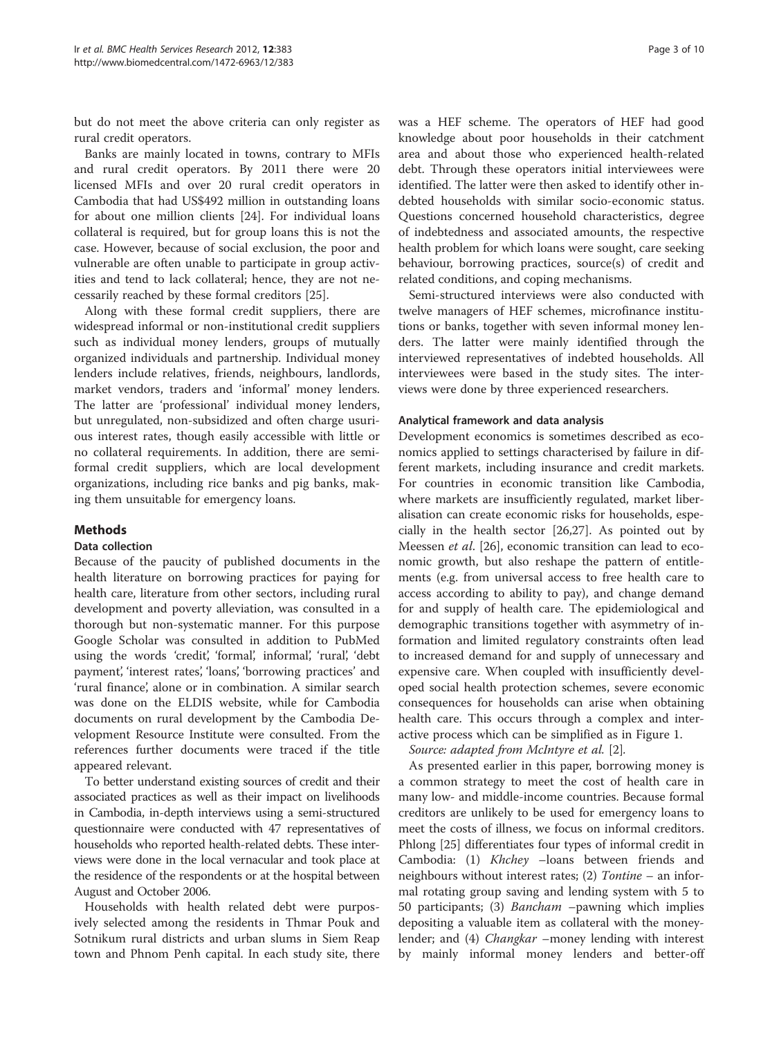but do not meet the above criteria can only register as rural credit operators.

Banks are mainly located in towns, contrary to MFIs and rural credit operators. By 2011 there were 20 licensed MFIs and over 20 rural credit operators in Cambodia that had US\$492 million in outstanding loans for about one million clients [[24\]](#page-9-0). For individual loans collateral is required, but for group loans this is not the case. However, because of social exclusion, the poor and vulnerable are often unable to participate in group activities and tend to lack collateral; hence, they are not necessarily reached by these formal creditors [[25](#page-9-0)].

Along with these formal credit suppliers, there are widespread informal or non-institutional credit suppliers such as individual money lenders, groups of mutually organized individuals and partnership. Individual money lenders include relatives, friends, neighbours, landlords, market vendors, traders and 'informal' money lenders. The latter are 'professional' individual money lenders, but unregulated, non-subsidized and often charge usurious interest rates, though easily accessible with little or no collateral requirements. In addition, there are semiformal credit suppliers, which are local development organizations, including rice banks and pig banks, making them unsuitable for emergency loans.

# Methods

#### Data collection

Because of the paucity of published documents in the health literature on borrowing practices for paying for health care, literature from other sectors, including rural development and poverty alleviation, was consulted in a thorough but non-systematic manner. For this purpose Google Scholar was consulted in addition to PubMed using the words 'credit', 'formal', informal', 'rural', 'debt payment', 'interest rates', 'loans', 'borrowing practices' and 'rural finance', alone or in combination. A similar search was done on the ELDIS website, while for Cambodia documents on rural development by the Cambodia Development Resource Institute were consulted. From the references further documents were traced if the title appeared relevant.

To better understand existing sources of credit and their associated practices as well as their impact on livelihoods in Cambodia, in-depth interviews using a semi-structured questionnaire were conducted with 47 representatives of households who reported health-related debts. These interviews were done in the local vernacular and took place at the residence of the respondents or at the hospital between August and October 2006.

Households with health related debt were purposively selected among the residents in Thmar Pouk and Sotnikum rural districts and urban slums in Siem Reap town and Phnom Penh capital. In each study site, there

was a HEF scheme. The operators of HEF had good knowledge about poor households in their catchment area and about those who experienced health-related debt. Through these operators initial interviewees were identified. The latter were then asked to identify other indebted households with similar socio-economic status. Questions concerned household characteristics, degree of indebtedness and associated amounts, the respective health problem for which loans were sought, care seeking behaviour, borrowing practices, source(s) of credit and related conditions, and coping mechanisms.

Semi-structured interviews were also conducted with twelve managers of HEF schemes, microfinance institutions or banks, together with seven informal money lenders. The latter were mainly identified through the interviewed representatives of indebted households. All interviewees were based in the study sites. The interviews were done by three experienced researchers.

#### Analytical framework and data analysis

Development economics is sometimes described as economics applied to settings characterised by failure in different markets, including insurance and credit markets. For countries in economic transition like Cambodia, where markets are insufficiently regulated, market liberalisation can create economic risks for households, especially in the health sector [[26](#page-9-0),[27](#page-9-0)]. As pointed out by Meessen et al. [[26\]](#page-9-0), economic transition can lead to economic growth, but also reshape the pattern of entitlements (e.g. from universal access to free health care to access according to ability to pay), and change demand for and supply of health care. The epidemiological and demographic transitions together with asymmetry of information and limited regulatory constraints often lead to increased demand for and supply of unnecessary and expensive care. When coupled with insufficiently developed social health protection schemes, severe economic consequences for households can arise when obtaining health care. This occurs through a complex and interactive process which can be simplified as in Figure [1.](#page-3-0)

Source: adapted from McIntyre et al. [[2\]](#page-9-0).

As presented earlier in this paper, borrowing money is a common strategy to meet the cost of health care in many low- and middle-income countries. Because formal creditors are unlikely to be used for emergency loans to meet the costs of illness, we focus on informal creditors. Phlong [[25](#page-9-0)] differentiates four types of informal credit in Cambodia: (1) Khchey –loans between friends and neighbours without interest rates; (2) Tontine – an informal rotating group saving and lending system with 5 to 50 participants; (3) *Bancham* –pawning which implies depositing a valuable item as collateral with the moneylender; and (4) *Changkar* –money lending with interest by mainly informal money lenders and better-off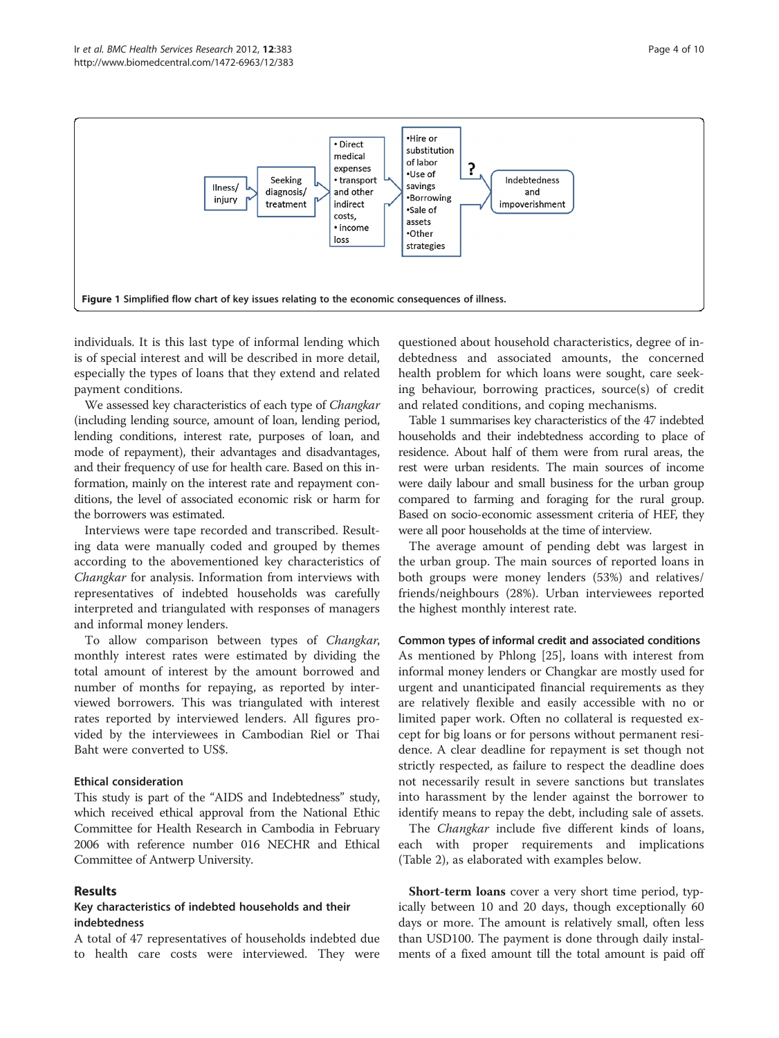<span id="page-3-0"></span>

individuals. It is this last type of informal lending which is of special interest and will be described in more detail, especially the types of loans that they extend and related payment conditions.

We assessed key characteristics of each type of Changkar (including lending source, amount of loan, lending period, lending conditions, interest rate, purposes of loan, and mode of repayment), their advantages and disadvantages, and their frequency of use for health care. Based on this information, mainly on the interest rate and repayment conditions, the level of associated economic risk or harm for the borrowers was estimated.

Interviews were tape recorded and transcribed. Resulting data were manually coded and grouped by themes according to the abovementioned key characteristics of Changkar for analysis. Information from interviews with representatives of indebted households was carefully interpreted and triangulated with responses of managers and informal money lenders.

To allow comparison between types of Changkar, monthly interest rates were estimated by dividing the total amount of interest by the amount borrowed and number of months for repaying, as reported by interviewed borrowers. This was triangulated with interest rates reported by interviewed lenders. All figures provided by the interviewees in Cambodian Riel or Thai Baht were converted to US\$.

# Ethical consideration

This study is part of the "AIDS and Indebtedness" study, which received ethical approval from the National Ethic Committee for Health Research in Cambodia in February 2006 with reference number 016 NECHR and Ethical Committee of Antwerp University.

# Results

# Key characteristics of indebted households and their indebtedness

A total of 47 representatives of households indebted due to health care costs were interviewed. They were

questioned about household characteristics, degree of indebtedness and associated amounts, the concerned health problem for which loans were sought, care seeking behaviour, borrowing practices, source(s) of credit and related conditions, and coping mechanisms.

Table [1](#page-4-0) summarises key characteristics of the 47 indebted households and their indebtedness according to place of residence. About half of them were from rural areas, the rest were urban residents. The main sources of income were daily labour and small business for the urban group compared to farming and foraging for the rural group. Based on socio-economic assessment criteria of HEF, they were all poor households at the time of interview.

The average amount of pending debt was largest in the urban group. The main sources of reported loans in both groups were money lenders (53%) and relatives/ friends/neighbours (28%). Urban interviewees reported the highest monthly interest rate.

#### Common types of informal credit and associated conditions

As mentioned by Phlong [\[25](#page-9-0)], loans with interest from informal money lenders or Changkar are mostly used for urgent and unanticipated financial requirements as they are relatively flexible and easily accessible with no or limited paper work. Often no collateral is requested except for big loans or for persons without permanent residence. A clear deadline for repayment is set though not strictly respected, as failure to respect the deadline does not necessarily result in severe sanctions but translates into harassment by the lender against the borrower to identify means to repay the debt, including sale of assets.

The *Changkar* include five different kinds of loans, each with proper requirements and implications (Table [2\)](#page-5-0), as elaborated with examples below.

Short-term loans cover a very short time period, typically between 10 and 20 days, though exceptionally 60 days or more. The amount is relatively small, often less than USD100. The payment is done through daily instalments of a fixed amount till the total amount is paid off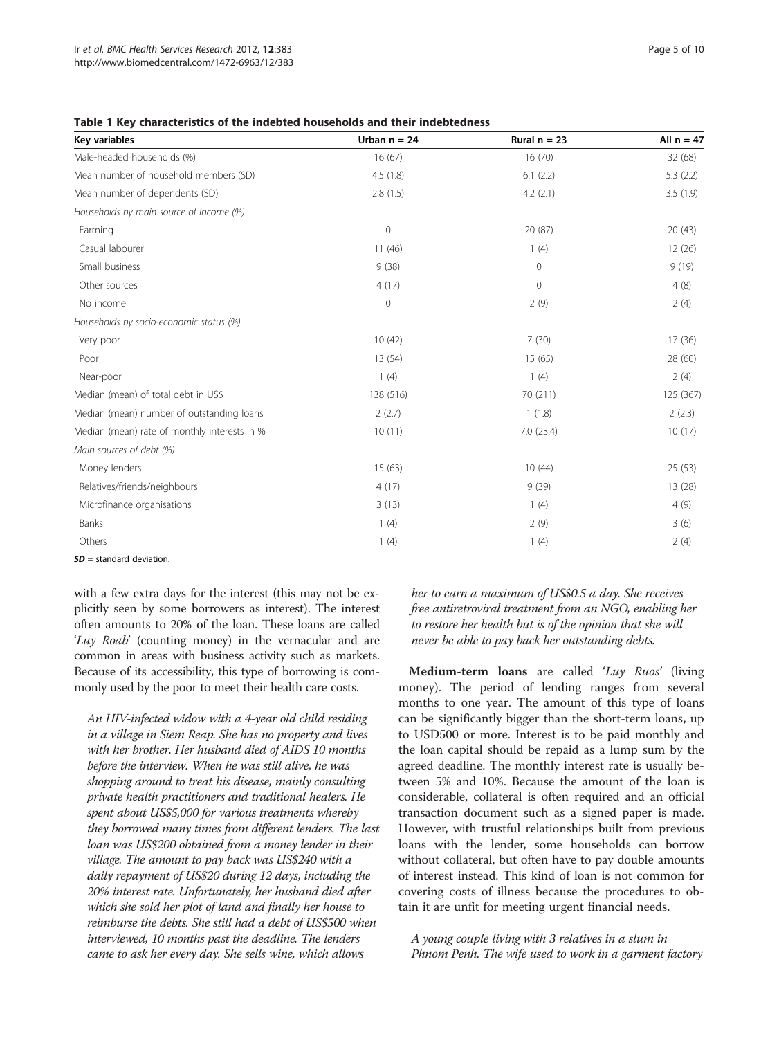| Key variables                                | Urban $n = 24$ | Rural $n = 23$ | All $n = 47$ |
|----------------------------------------------|----------------|----------------|--------------|
| Male-headed households (%)                   | 16(67)         | 16(70)         | 32 (68)      |
| Mean number of household members (SD)        | 4.5(1.8)       | 6.1(2.2)       | 5.3(2.2)     |
| Mean number of dependents (SD)               | 2.8(1.5)       | 4.2(2.1)       | 3.5(1.9)     |
| Households by main source of income (%)      |                |                |              |
| Farming                                      | $\mathbf{0}$   | 20 (87)        | 20(43)       |
| Casual labourer                              | 11(46)         | 1(4)           | 12(26)       |
| Small business                               | 9(38)          | $\mathbf{0}$   | 9(19)        |
| Other sources                                | 4(17)          | $\mathbf 0$    | 4(8)         |
| No income                                    | $\mathbf{0}$   | 2(9)           | 2(4)         |
| Households by socio-economic status (%)      |                |                |              |
| Very poor                                    | 10(42)         | 7(30)          | 17(36)       |
| Poor                                         | 13 (54)        | 15(65)         | 28 (60)      |
| Near-poor                                    | 1(4)           | 1(4)           | 2(4)         |
| Median (mean) of total debt in US\$          | 138 (516)      | 70 (211)       | 125 (367)    |
| Median (mean) number of outstanding loans    | 2(2.7)         | 1(1.8)         | 2(2.3)       |
| Median (mean) rate of monthly interests in % | 10(11)         | 7.0(23.4)      | 10(17)       |
| Main sources of debt (%)                     |                |                |              |
| Money lenders                                | 15(63)         | 10(44)         | 25 (53)      |
| Relatives/friends/neighbours                 | 4(17)          | 9(39)          | 13 (28)      |
| Microfinance organisations                   | 3(13)          | 1(4)           | 4(9)         |
| Banks                                        | 1(4)           | 2(9)           | 3(6)         |
| Others                                       | 1(4)           | 1(4)           | 2(4)         |

<span id="page-4-0"></span>Table 1 Key characteristics of the indebted households and their indebtedness

 $SD =$  standard deviation.

with a few extra days for the interest (this may not be explicitly seen by some borrowers as interest). The interest often amounts to 20% of the loan. These loans are called 'Luy Roab' (counting money) in the vernacular and are common in areas with business activity such as markets. Because of its accessibility, this type of borrowing is commonly used by the poor to meet their health care costs.

An HIV-infected widow with a 4-year old child residing in a village in Siem Reap. She has no property and lives with her brother. Her husband died of AIDS 10 months before the interview. When he was still alive, he was shopping around to treat his disease, mainly consulting private health practitioners and traditional healers. He spent about US\$5,000 for various treatments whereby they borrowed many times from different lenders. The last loan was US\$200 obtained from a money lender in their village. The amount to pay back was US\$240 with a daily repayment of US\$20 during 12 days, including the 20% interest rate. Unfortunately, her husband died after which she sold her plot of land and finally her house to reimburse the debts. She still had a debt of US\$500 when interviewed, 10 months past the deadline. The lenders came to ask her every day. She sells wine, which allows

her to earn a maximum of US\$0.5 a day. She receives free antiretroviral treatment from an NGO, enabling her to restore her health but is of the opinion that she will never be able to pay back her outstanding debts.

Medium-term loans are called 'Luy Ruos' (living money). The period of lending ranges from several months to one year. The amount of this type of loans can be significantly bigger than the short-term loans, up to USD500 or more. Interest is to be paid monthly and the loan capital should be repaid as a lump sum by the agreed deadline. The monthly interest rate is usually between 5% and 10%. Because the amount of the loan is considerable, collateral is often required and an official transaction document such as a signed paper is made. However, with trustful relationships built from previous loans with the lender, some households can borrow without collateral, but often have to pay double amounts of interest instead. This kind of loan is not common for covering costs of illness because the procedures to obtain it are unfit for meeting urgent financial needs.

A young couple living with 3 relatives in a slum in Phnom Penh. The wife used to work in a garment factory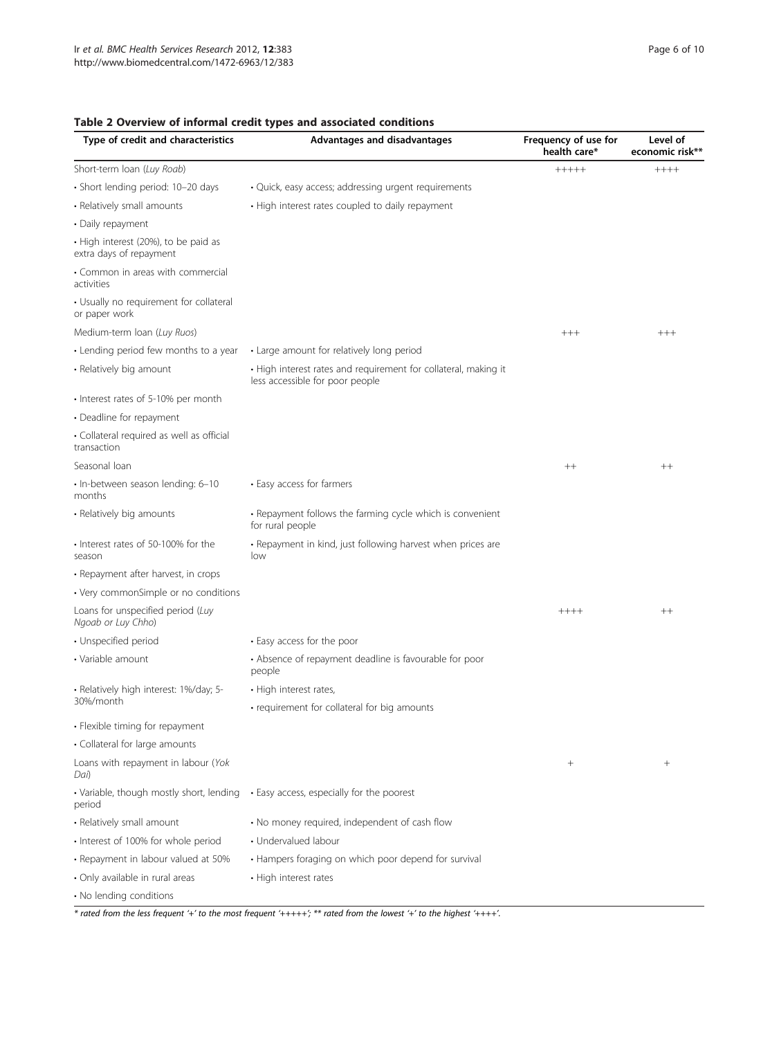| Type of credit and characteristics                              | Advantages and disadvantages                                                                       | Frequency of use for<br>health care* | Level of<br>economic risk** |
|-----------------------------------------------------------------|----------------------------------------------------------------------------------------------------|--------------------------------------|-----------------------------|
| Short-term loan (Luy Roab)                                      |                                                                                                    | $+++++$                              | $++++$                      |
| · Short lending period: 10-20 days                              | • Quick, easy access; addressing urgent requirements                                               |                                      |                             |
| · Relatively small amounts                                      | • High interest rates coupled to daily repayment                                                   |                                      |                             |
| • Daily repayment                                               |                                                                                                    |                                      |                             |
| • High interest (20%), to be paid as<br>extra days of repayment |                                                                                                    |                                      |                             |
| • Common in areas with commercial<br>activities                 |                                                                                                    |                                      |                             |
| · Usually no requirement for collateral<br>or paper work        |                                                                                                    |                                      |                             |
| Medium-term Ioan (Luy Ruos)                                     |                                                                                                    | $^{+++}$                             | $^{+++}$                    |
| • Lending period few months to a year                           | • Large amount for relatively long period                                                          |                                      |                             |
| · Relatively big amount                                         | • High interest rates and requirement for collateral, making it<br>less accessible for poor people |                                      |                             |
| • Interest rates of 5-10% per month                             |                                                                                                    |                                      |                             |
| • Deadline for repayment                                        |                                                                                                    |                                      |                             |
| · Collateral required as well as official<br>transaction        |                                                                                                    |                                      |                             |
| Seasonal loan                                                   |                                                                                                    | $^{++}$                              | $^{++}$                     |
| · In-between season lending: 6-10<br>months                     | • Easy access for farmers                                                                          |                                      |                             |
| • Relatively big amounts                                        | • Repayment follows the farming cycle which is convenient<br>for rural people                      |                                      |                             |
| • Interest rates of 50-100% for the<br>season                   | • Repayment in kind, just following harvest when prices are<br>low                                 |                                      |                             |
| • Repayment after harvest, in crops                             |                                                                                                    |                                      |                             |
| • Very commonSimple or no conditions                            |                                                                                                    |                                      |                             |
| Loans for unspecified period (Luy<br>Ngoab or Luy Chho)         |                                                                                                    | $+++++$                              | $^{++}$                     |
| • Unspecified period                                            | • Easy access for the poor                                                                         |                                      |                             |
| • Variable amount                                               | • Absence of repayment deadline is favourable for poor<br>people                                   |                                      |                             |
| · Relatively high interest: 1%/day; 5-                          | • High interest rates,                                                                             |                                      |                             |
| 30%/month                                                       | • requirement for collateral for big amounts                                                       |                                      |                             |
| · Flexible timing for repayment                                 |                                                                                                    |                                      |                             |
| · Collateral for large amounts                                  |                                                                                                    |                                      |                             |
| Loans with repayment in labour (Yok<br>Dai)                     |                                                                                                    | $^{+}$                               | $^{+}$                      |
| · Variable, though mostly short, lending<br>period              | • Easy access, especially for the poorest                                                          |                                      |                             |
| · Relatively small amount                                       | • No money required, independent of cash flow                                                      |                                      |                             |
| · Interest of 100% for whole period                             | • Undervalued labour                                                                               |                                      |                             |
| · Repayment in labour valued at 50%                             | • Hampers foraging on which poor depend for survival                                               |                                      |                             |
| · Only available in rural areas                                 | • High interest rates                                                                              |                                      |                             |

# <span id="page-5-0"></span>Table 2 Overview of informal credit types and associated conditions

\* rated from the less frequent '+' to the most frequent '+++++'; \*\* rated from the lowest '+' to the highest '++++'.

• No lending conditions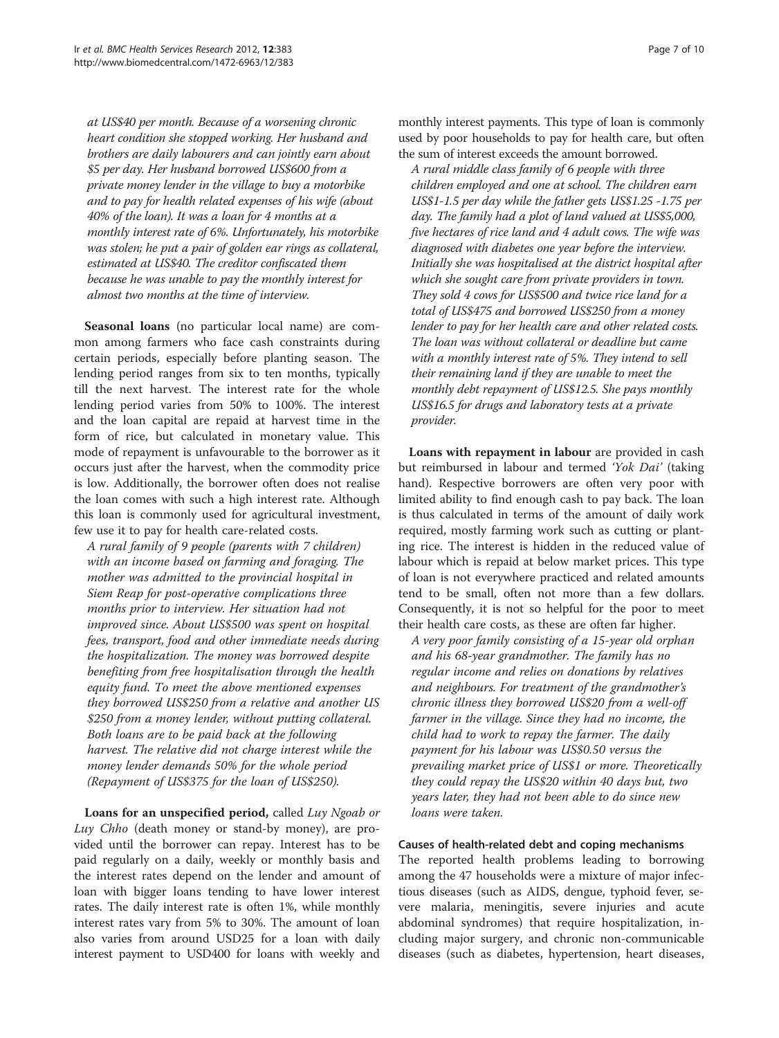at US\$40 per month. Because of a worsening chronic heart condition she stopped working. Her husband and brothers are daily labourers and can jointly earn about \$5 per day. Her husband borrowed US\$600 from a private money lender in the village to buy a motorbike and to pay for health related expenses of his wife (about 40% of the loan). It was a loan for 4 months at a monthly interest rate of 6%. Unfortunately, his motorbike was stolen; he put a pair of golden ear rings as collateral, estimated at US\$40. The creditor confiscated them because he was unable to pay the monthly interest for almost two months at the time of interview.

Seasonal loans (no particular local name) are common among farmers who face cash constraints during certain periods, especially before planting season. The lending period ranges from six to ten months, typically till the next harvest. The interest rate for the whole lending period varies from 50% to 100%. The interest and the loan capital are repaid at harvest time in the form of rice, but calculated in monetary value. This mode of repayment is unfavourable to the borrower as it occurs just after the harvest, when the commodity price is low. Additionally, the borrower often does not realise the loan comes with such a high interest rate. Although this loan is commonly used for agricultural investment, few use it to pay for health care-related costs.

A rural family of 9 people (parents with 7 children) with an income based on farming and foraging. The mother was admitted to the provincial hospital in Siem Reap for post-operative complications three months prior to interview. Her situation had not improved since. About US\$500 was spent on hospital fees, transport, food and other immediate needs during the hospitalization. The money was borrowed despite benefiting from free hospitalisation through the health equity fund. To meet the above mentioned expenses they borrowed US\$250 from a relative and another US \$250 from a money lender, without putting collateral. Both loans are to be paid back at the following harvest. The relative did not charge interest while the money lender demands 50% for the whole period (Repayment of US\$375 for the loan of US\$250).

Loans for an unspecified period, called Luy Ngoab or Luy Chho (death money or stand-by money), are provided until the borrower can repay. Interest has to be paid regularly on a daily, weekly or monthly basis and the interest rates depend on the lender and amount of loan with bigger loans tending to have lower interest rates. The daily interest rate is often 1%, while monthly interest rates vary from 5% to 30%. The amount of loan also varies from around USD25 for a loan with daily interest payment to USD400 for loans with weekly and

monthly interest payments. This type of loan is commonly used by poor households to pay for health care, but often the sum of interest exceeds the amount borrowed.

A rural middle class family of 6 people with three children employed and one at school. The children earn US\$1-1.5 per day while the father gets US\$1.25 -1.75 per day. The family had a plot of land valued at US\$5,000, five hectares of rice land and 4 adult cows. The wife was diagnosed with diabetes one year before the interview. Initially she was hospitalised at the district hospital after which she sought care from private providers in town. They sold 4 cows for US\$500 and twice rice land for a total of US\$475 and borrowed US\$250 from a money lender to pay for her health care and other related costs. The loan was without collateral or deadline but came with a monthly interest rate of 5%. They intend to sell their remaining land if they are unable to meet the monthly debt repayment of US\$12.5. She pays monthly US\$16.5 for drugs and laboratory tests at a private provider.

Loans with repayment in labour are provided in cash but reimbursed in labour and termed 'Yok Dai' (taking hand). Respective borrowers are often very poor with limited ability to find enough cash to pay back. The loan is thus calculated in terms of the amount of daily work required, mostly farming work such as cutting or planting rice. The interest is hidden in the reduced value of labour which is repaid at below market prices. This type of loan is not everywhere practiced and related amounts tend to be small, often not more than a few dollars. Consequently, it is not so helpful for the poor to meet their health care costs, as these are often far higher.

A very poor family consisting of a 15-year old orphan and his 68-year grandmother. The family has no regular income and relies on donations by relatives and neighbours. For treatment of the grandmother's chronic illness they borrowed US\$20 from a well-off farmer in the village. Since they had no income, the child had to work to repay the farmer. The daily payment for his labour was US\$0.50 versus the prevailing market price of US\$1 or more. Theoretically they could repay the US\$20 within 40 days but, two years later, they had not been able to do since new loans were taken.

Causes of health-related debt and coping mechanisms The reported health problems leading to borrowing among the 47 households were a mixture of major infectious diseases (such as AIDS, dengue, typhoid fever, severe malaria, meningitis, severe injuries and acute abdominal syndromes) that require hospitalization, including major surgery, and chronic non-communicable diseases (such as diabetes, hypertension, heart diseases,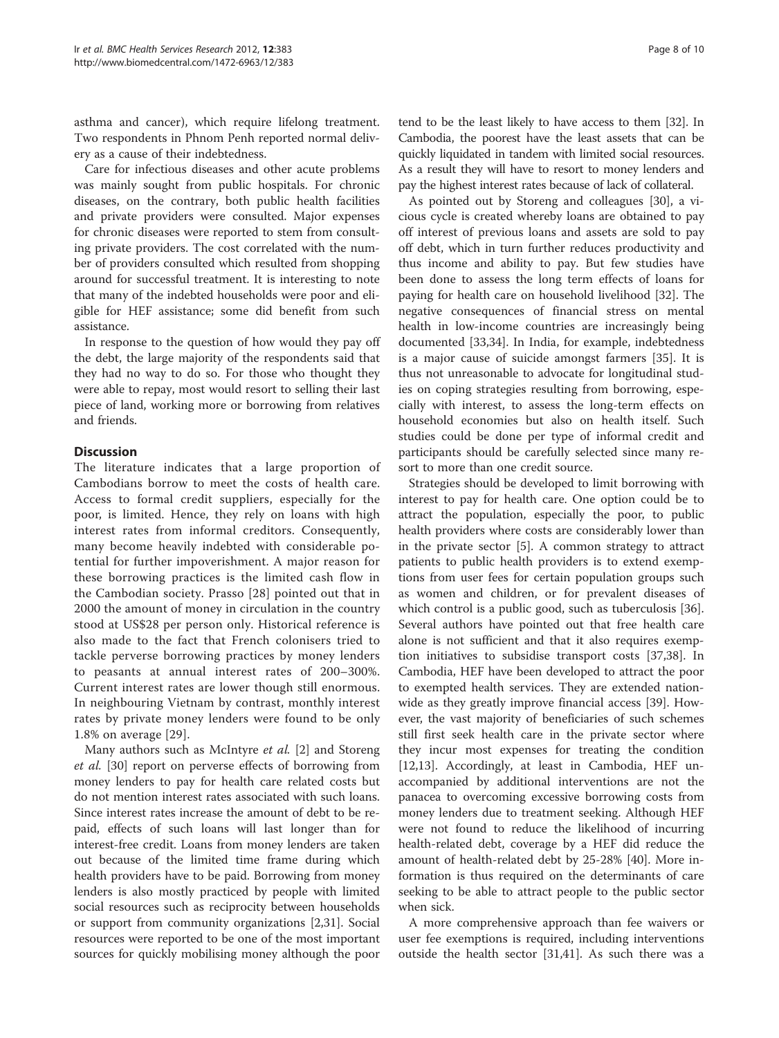asthma and cancer), which require lifelong treatment. Two respondents in Phnom Penh reported normal delivery as a cause of their indebtedness.

Care for infectious diseases and other acute problems was mainly sought from public hospitals. For chronic diseases, on the contrary, both public health facilities and private providers were consulted. Major expenses for chronic diseases were reported to stem from consulting private providers. The cost correlated with the number of providers consulted which resulted from shopping around for successful treatment. It is interesting to note that many of the indebted households were poor and eligible for HEF assistance; some did benefit from such assistance.

In response to the question of how would they pay off the debt, the large majority of the respondents said that they had no way to do so. For those who thought they were able to repay, most would resort to selling their last piece of land, working more or borrowing from relatives and friends.

# **Discussion**

The literature indicates that a large proportion of Cambodians borrow to meet the costs of health care. Access to formal credit suppliers, especially for the poor, is limited. Hence, they rely on loans with high interest rates from informal creditors. Consequently, many become heavily indebted with considerable potential for further impoverishment. A major reason for these borrowing practices is the limited cash flow in the Cambodian society. Prasso [\[28](#page-9-0)] pointed out that in 2000 the amount of money in circulation in the country stood at US\$28 per person only. Historical reference is also made to the fact that French colonisers tried to tackle perverse borrowing practices by money lenders to peasants at annual interest rates of 200–300%. Current interest rates are lower though still enormous. In neighbouring Vietnam by contrast, monthly interest rates by private money lenders were found to be only 1.8% on average [[29\]](#page-9-0).

Many authors such as McIntyre *et al.* [[2\]](#page-9-0) and Storeng et al. [[30\]](#page-9-0) report on perverse effects of borrowing from money lenders to pay for health care related costs but do not mention interest rates associated with such loans. Since interest rates increase the amount of debt to be repaid, effects of such loans will last longer than for interest-free credit. Loans from money lenders are taken out because of the limited time frame during which health providers have to be paid. Borrowing from money lenders is also mostly practiced by people with limited social resources such as reciprocity between households or support from community organizations [\[2](#page-9-0),[31](#page-9-0)]. Social resources were reported to be one of the most important sources for quickly mobilising money although the poor tend to be the least likely to have access to them [[32](#page-9-0)]. In Cambodia, the poorest have the least assets that can be quickly liquidated in tandem with limited social resources. As a result they will have to resort to money lenders and pay the highest interest rates because of lack of collateral.

As pointed out by Storeng and colleagues [[30\]](#page-9-0), a vicious cycle is created whereby loans are obtained to pay off interest of previous loans and assets are sold to pay off debt, which in turn further reduces productivity and thus income and ability to pay. But few studies have been done to assess the long term effects of loans for paying for health care on household livelihood [[32\]](#page-9-0). The negative consequences of financial stress on mental health in low-income countries are increasingly being documented [\[33,34\]](#page-9-0). In India, for example, indebtedness is a major cause of suicide amongst farmers [[35\]](#page-9-0). It is thus not unreasonable to advocate for longitudinal studies on coping strategies resulting from borrowing, especially with interest, to assess the long-term effects on household economies but also on health itself. Such studies could be done per type of informal credit and participants should be carefully selected since many resort to more than one credit source.

Strategies should be developed to limit borrowing with interest to pay for health care. One option could be to attract the population, especially the poor, to public health providers where costs are considerably lower than in the private sector [[5\]](#page-9-0). A common strategy to attract patients to public health providers is to extend exemptions from user fees for certain population groups such as women and children, or for prevalent diseases of which control is a public good, such as tuberculosis [\[36](#page-9-0)]. Several authors have pointed out that free health care alone is not sufficient and that it also requires exemption initiatives to subsidise transport costs [[37,38](#page-9-0)]. In Cambodia, HEF have been developed to attract the poor to exempted health services. They are extended nationwide as they greatly improve financial access [[39\]](#page-9-0). However, the vast majority of beneficiaries of such schemes still first seek health care in the private sector where they incur most expenses for treating the condition [[12,13\]](#page-9-0). Accordingly, at least in Cambodia, HEF unaccompanied by additional interventions are not the panacea to overcoming excessive borrowing costs from money lenders due to treatment seeking. Although HEF were not found to reduce the likelihood of incurring health-related debt, coverage by a HEF did reduce the amount of health-related debt by 25-28% [[40](#page-9-0)]. More information is thus required on the determinants of care seeking to be able to attract people to the public sector when sick.

A more comprehensive approach than fee waivers or user fee exemptions is required, including interventions outside the health sector [[31,41](#page-9-0)]. As such there was a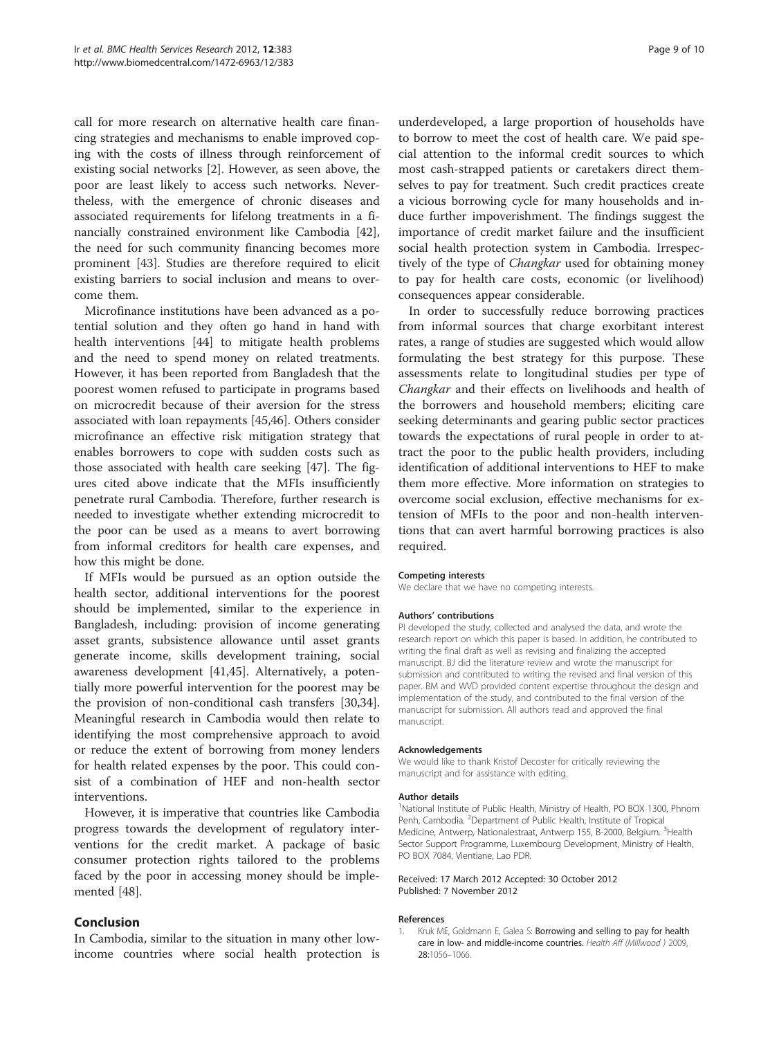<span id="page-8-0"></span>call for more research on alternative health care financing strategies and mechanisms to enable improved coping with the costs of illness through reinforcement of existing social networks [\[2](#page-9-0)]. However, as seen above, the poor are least likely to access such networks. Nevertheless, with the emergence of chronic diseases and associated requirements for lifelong treatments in a financially constrained environment like Cambodia [\[42](#page-9-0)], the need for such community financing becomes more prominent [\[43](#page-9-0)]. Studies are therefore required to elicit existing barriers to social inclusion and means to overcome them.

Microfinance institutions have been advanced as a potential solution and they often go hand in hand with health interventions [\[44](#page-9-0)] to mitigate health problems and the need to spend money on related treatments. However, it has been reported from Bangladesh that the poorest women refused to participate in programs based on microcredit because of their aversion for the stress associated with loan repayments [\[45,46\]](#page-9-0). Others consider microfinance an effective risk mitigation strategy that enables borrowers to cope with sudden costs such as those associated with health care seeking [\[47](#page-9-0)]. The figures cited above indicate that the MFIs insufficiently penetrate rural Cambodia. Therefore, further research is needed to investigate whether extending microcredit to the poor can be used as a means to avert borrowing from informal creditors for health care expenses, and how this might be done.

If MFIs would be pursued as an option outside the health sector, additional interventions for the poorest should be implemented, similar to the experience in Bangladesh, including: provision of income generating asset grants, subsistence allowance until asset grants generate income, skills development training, social awareness development [\[41,45](#page-9-0)]. Alternatively, a potentially more powerful intervention for the poorest may be the provision of non-conditional cash transfers [\[30,34](#page-9-0)]. Meaningful research in Cambodia would then relate to identifying the most comprehensive approach to avoid or reduce the extent of borrowing from money lenders for health related expenses by the poor. This could consist of a combination of HEF and non-health sector interventions.

However, it is imperative that countries like Cambodia progress towards the development of regulatory interventions for the credit market. A package of basic consumer protection rights tailored to the problems faced by the poor in accessing money should be implemented [[48](#page-9-0)].

# Conclusion

In Cambodia, similar to the situation in many other lowincome countries where social health protection is underdeveloped, a large proportion of households have to borrow to meet the cost of health care. We paid special attention to the informal credit sources to which most cash-strapped patients or caretakers direct themselves to pay for treatment. Such credit practices create a vicious borrowing cycle for many households and induce further impoverishment. The findings suggest the importance of credit market failure and the insufficient social health protection system in Cambodia. Irrespectively of the type of Changkar used for obtaining money to pay for health care costs, economic (or livelihood) consequences appear considerable.

In order to successfully reduce borrowing practices from informal sources that charge exorbitant interest rates, a range of studies are suggested which would allow formulating the best strategy for this purpose. These assessments relate to longitudinal studies per type of Changkar and their effects on livelihoods and health of the borrowers and household members; eliciting care seeking determinants and gearing public sector practices towards the expectations of rural people in order to attract the poor to the public health providers, including identification of additional interventions to HEF to make them more effective. More information on strategies to overcome social exclusion, effective mechanisms for extension of MFIs to the poor and non-health interventions that can avert harmful borrowing practices is also required.

#### Competing interests

We declare that we have no competing interests.

#### Authors' contributions

PI developed the study, collected and analysed the data, and wrote the research report on which this paper is based. In addition, he contributed to writing the final draft as well as revising and finalizing the accepted manuscript. BJ did the literature review and wrote the manuscript for submission and contributed to writing the revised and final version of this paper. BM and WVD provided content expertise throughout the design and implementation of the study, and contributed to the final version of the manuscript for submission. All authors read and approved the final manuscript.

#### Acknowledgements

We would like to thank Kristof Decoster for critically reviewing the manuscript and for assistance with editing.

#### Author details

<sup>1</sup>National Institute of Public Health, Ministry of Health, PO BOX 1300, Phnom Penh, Cambodia. <sup>2</sup>Department of Public Health, Institute of Tropical Medicine, Antwerp, Nationalestraat, Antwerp 155, B-2000, Belgium. <sup>3</sup>Health Sector Support Programme, Luxembourg Development, Ministry of Health, PO BOX 7084, Vientiane, Lao PDR.

#### Received: 17 March 2012 Accepted: 30 October 2012 Published: 7 November 2012

#### References

Kruk ME, Goldmann E, Galea S: Borrowing and selling to pay for health care in low- and middle-income countries. Health Aff (Millwood ) 2009, 28:1056–1066.